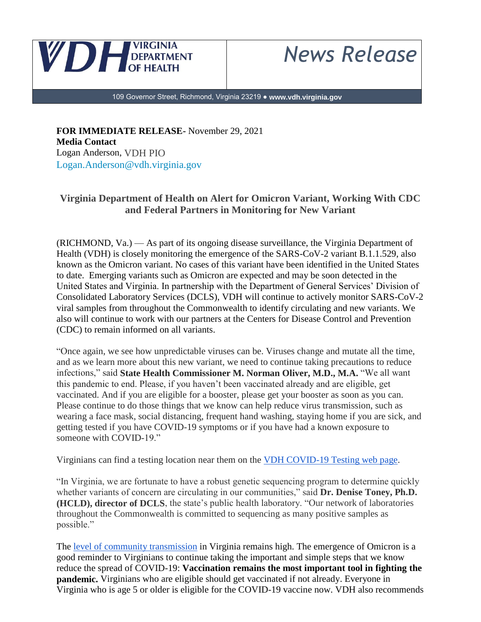

*News Release*

109 Governor Street, Richmond, Virginia 23219 ● **www.vdh.virginia.gov**

**FOR IMMEDIATE RELEASE-** November 29, 2021 **Media Contact** Logan Anderson, VDH PIO Logan.Anderson@vdh.virginia.gov

## **Virginia Department of Health on Alert for Omicron Variant, Working With CDC and Federal Partners in Monitoring for New Variant**

(RICHMOND, Va.) — As part of its ongoing disease surveillance, the Virginia Department of Health (VDH) is closely monitoring the emergence of the SARS-CoV-2 variant B.1.1.529, also known as the Omicron variant. No cases of this variant have been identified in the United States to date. Emerging variants such as Omicron are expected and may be soon detected in the United States and Virginia. In partnership with the Department of General Services' Division of Consolidated Laboratory Services (DCLS), VDH will continue to actively monitor SARS-CoV-2 viral samples from throughout the Commonwealth to identify circulating and new variants. We also will continue to work with our partners at the Centers for Disease Control and Prevention (CDC) to remain informed on all variants.

"Once again, we see how unpredictable viruses can be. Viruses change and mutate all the time, and as we learn more about this new variant, we need to continue taking precautions to reduce infections," said **State Health Commissioner M. Norman Oliver, M.D., M.A.** "We all want this pandemic to end. Please, if you haven't been vaccinated already and are eligible, get vaccinated. And if you are eligible for a booster, please get your booster as soon as you can. Please continue to do those things that we know can help reduce virus transmission, such as wearing a face mask, social distancing, frequent hand washing, staying home if you are sick, and getting tested if you have COVID-19 symptoms or if you have had a known exposure to someone with COVID-19."

Virginians can find a testing location near them on the [VDH COVID-19 Testing web page.](https://www.vdh.virginia.gov/coronavirus/protect-yourself/covid-19-testing/covid-19-testing-sites/)

"In Virginia, we are fortunate to have a robust genetic sequencing program to determine quickly whether variants of concern are circulating in our communities," said **Dr. Denise Toney, Ph.D. (HCLD), director of DCLS**, the state's public health laboratory. "Our network of laboratories throughout the Commonwealth is committed to sequencing as many positive samples as possible."

The [level of community transmission](https://www.vdh.virginia.gov/coronavirus/see-the-numbers/covid-19-in-virginia/community-transmission/) in Virginia remains high. The emergence of Omicron is a good reminder to Virginians to continue taking the important and simple steps that we know reduce the spread of COVID-19: **Vaccination remains the most important tool in fighting the pandemic.** Virginians who are eligible should get vaccinated if not already. Everyone in Virginia who is age 5 or older is eligible for the COVID-19 vaccine now. VDH also recommends